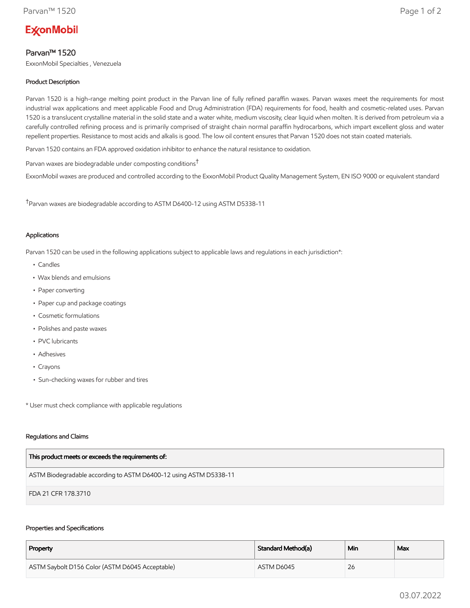# **ExconMobil**

## Parvan™ 1520

ExxonMobil Specialties , Venezuela

## Product Description

Parvan 1520 is a high-range melting point product in the Parvan line of fully refined paraffin waxes. Parvan waxes meet the requirements for most industrial wax applications and meet applicable Food and Drug Administration (FDA) requirements for food, health and cosmetic-related uses. Parvan 1520 is a translucent crystalline material in the solid state and a water white, medium viscosity, clear liquid when molten. It is derived from petroleum via a carefully controlled refining process and is primarily comprised of straight chain normal paraffin hydrocarbons, which impart excellent gloss and water repellent properties. Resistance to most acids and alkalis is good. The low oil content ensures that Parvan 1520 does not stain coated materials.

Parvan 1520 contains an FDA approved oxidation inhibitor to enhance the natural resistance to oxidation.

Parvan waxes are biodegradable under composting conditions†

ExxonMobil waxes are produced and controlled according to the ExxonMobil Product Quality Management System, EN ISO 9000 or equivalent standard

†Parvan waxes are biodegradable according to ASTM D6400-12 using ASTM D5338-11

### Applications

Parvan 1520 can be used in the following applications subject to applicable laws and regulations in each jurisdiction\*:

- Candles
- Wax blends and emulsions
- Paper converting
- Paper cup and package coatings
- Cosmetic formulations
- Polishes and paste waxes
- PVC lubricants
- Adhesives
- Crayons
- Sun-checking waxes for rubber and tires

\* User must check compliance with applicable regulations

#### Regulations and Claims

| This product meets or exceeds the requirements of:                |
|-------------------------------------------------------------------|
| ASTM Biodegradable according to ASTM D6400-12 using ASTM D5338-11 |
| FDA 21 CFR 178.3710                                               |

#### Properties and Specifications

| Property                                        | Standard Method(a) | Min | Max |
|-------------------------------------------------|--------------------|-----|-----|
| ASTM Saybolt D156 Color (ASTM D6045 Acceptable) | ASTM D6045         | 26  |     |